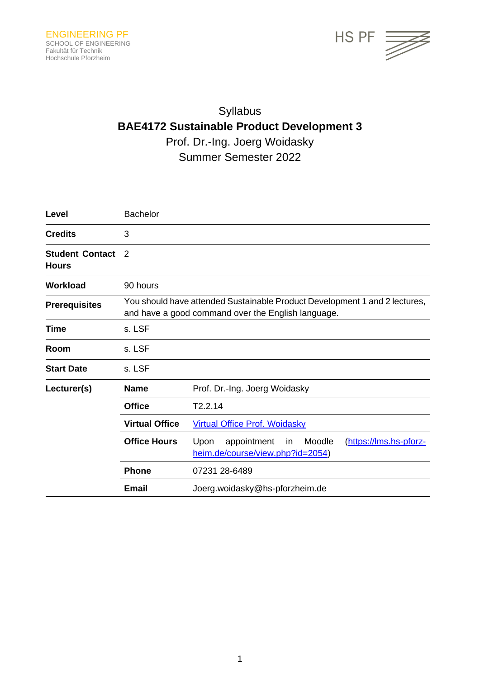

# Syllabus **BAE4172 Sustainable Product Development 3** Prof. Dr.-Ing. Joerg Woidasky

Summer Semester 2022

| Level                                  | <b>Bachelor</b>                                                                                                                  |                                                                                                    |
|----------------------------------------|----------------------------------------------------------------------------------------------------------------------------------|----------------------------------------------------------------------------------------------------|
| <b>Credits</b>                         | 3                                                                                                                                |                                                                                                    |
| <b>Student Contact</b><br><b>Hours</b> | 2                                                                                                                                |                                                                                                    |
| <b>Workload</b>                        | 90 hours                                                                                                                         |                                                                                                    |
| <b>Prerequisites</b>                   | You should have attended Sustainable Product Development 1 and 2 lectures,<br>and have a good command over the English language. |                                                                                                    |
| <b>Time</b>                            | s. LSF                                                                                                                           |                                                                                                    |
| Room                                   | s. LSF                                                                                                                           |                                                                                                    |
| <b>Start Date</b>                      | s. LSF                                                                                                                           |                                                                                                    |
| Lecturer(s)                            | Name                                                                                                                             | Prof. Dr.-Ing. Joerg Woidasky                                                                      |
|                                        | <b>Office</b>                                                                                                                    | T2.2.14                                                                                            |
|                                        | <b>Virtual Office</b>                                                                                                            | <b>Virtual Office Prof. Woidasky</b>                                                               |
|                                        | <b>Office Hours</b>                                                                                                              | Upon<br>appointment<br>Moodle<br>(https://lms.hs-pforz-<br>in.<br>heim.de/course/view.php?id=2054) |
|                                        | <b>Phone</b>                                                                                                                     | 07231 28-6489                                                                                      |
|                                        | <b>Email</b>                                                                                                                     | Joerg.woidasky@hs-pforzheim.de                                                                     |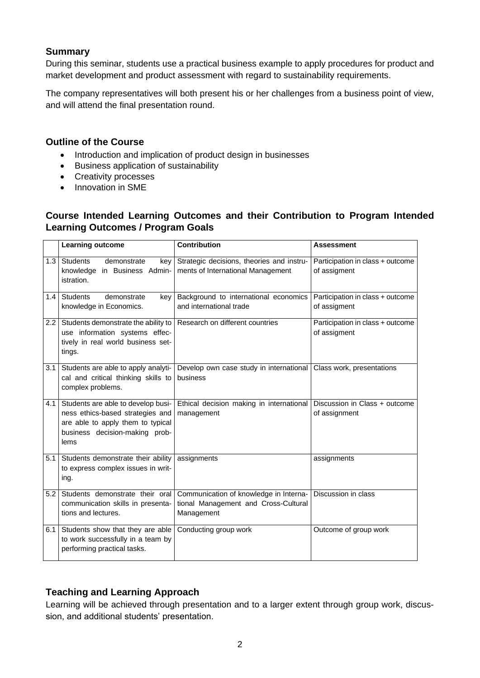#### **Summary**

During this seminar, students use a practical business example to apply procedures for product and market development and product assessment with regard to sustainability requirements.

The company representatives will both present his or her challenges from a business point of view, and will attend the final presentation round.

#### **Outline of the Course**

- Introduction and implication of product design in businesses
- Business application of sustainability
- Creativity processes
- Innovation in SME

## **Course Intended Learning Outcomes and their Contribution to Program Intended Learning Outcomes / Program Goals**

|     | Learning outcome                                                                                                                                      | Contribution                                                                                 | <b>Assessment</b>                                |
|-----|-------------------------------------------------------------------------------------------------------------------------------------------------------|----------------------------------------------------------------------------------------------|--------------------------------------------------|
| 1.3 | <b>Students</b><br>demonstrate<br>key<br>knowledge in Business Admin-<br>istration.                                                                   | Strategic decisions, theories and instru-<br>ments of International Management               | Participation in class + outcome<br>of assigment |
| 1.4 | <b>Students</b><br>demonstrate<br>key<br>knowledge in Economics.                                                                                      | Background to international economics<br>and international trade                             | Participation in class + outcome<br>of assigment |
| 2.2 | Students demonstrate the ability to<br>use information systems effec-<br>tively in real world business set-<br>tings.                                 | Research on different countries                                                              | Participation in class + outcome<br>of assigment |
| 3.1 | Students are able to apply analyti-<br>cal and critical thinking skills to<br>complex problems.                                                       | Develop own case study in international<br>business                                          | Class work, presentations                        |
| 4.1 | Students are able to develop busi-<br>ness ethics-based strategies and<br>are able to apply them to typical<br>business decision-making prob-<br>lems | Ethical decision making in international<br>management                                       | Discussion in Class + outcome<br>of assignment   |
| 5.1 | Students demonstrate their ability<br>to express complex issues in writ-<br>ing.                                                                      | assignments                                                                                  | assignments                                      |
| 5.2 | Students demonstrate their oral<br>communication skills in presenta-<br>tions and lectures.                                                           | Communication of knowledge in Interna-<br>tional Management and Cross-Cultural<br>Management | Discussion in class                              |
| 6.1 | Students show that they are able<br>to work successfully in a team by<br>performing practical tasks.                                                  | Conducting group work                                                                        | Outcome of group work                            |

# **Teaching and Learning Approach**

Learning will be achieved through presentation and to a larger extent through group work, discussion, and additional students' presentation.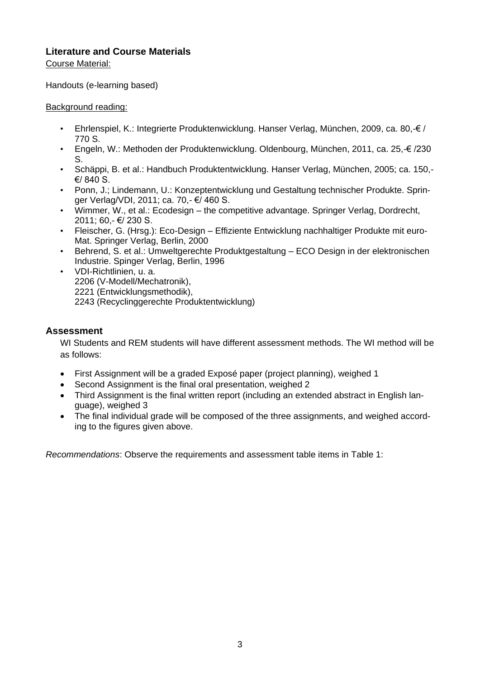# **Literature and Course Materials**

Course Material:

Handouts (e-learning based)

#### Background reading:

- Ehrlenspiel, K.: Integrierte Produktenwicklung. Hanser Verlag, München, 2009, ca. 80,-€ / 770 S.
- Engeln, W.: Methoden der Produktenwicklung. Oldenbourg, München, 2011, ca. 25,-€ /230 S.
- Schäppi, B. et al.: Handbuch Produktentwicklung. Hanser Verlag, München, 2005; ca. 150,- €/ 840 S.
- Ponn, J.; Lindemann, U.: Konzeptentwicklung und Gestaltung technischer Produkte. Springer Verlag/VDI, 2011; ca. 70,- €/ 460 S.
- Wimmer, W., et al.: Ecodesign the competitive advantage. Springer Verlag, Dordrecht, 2011; 60,- €/ 230 S.
- Fleischer, G. (Hrsg.): Eco-Design Effiziente Entwicklung nachhaltiger Produkte mit euro-Mat. Springer Verlag, Berlin, 2000
- Behrend, S. et al.: Umweltgerechte Produktgestaltung ECO Design in der elektronischen Industrie. Spinger Verlag, Berlin, 1996
	- VDI-Richtlinien, u. a. 2206 (V-Modell/Mechatronik), 2221 (Entwicklungsmethodik), 2243 (Recyclinggerechte Produktentwicklung)

## **Assessment**

WI Students and REM students will have different assessment methods. The WI method will be as follows:

- First Assignment will be a graded Exposé paper (project planning), weighed 1
- Second Assignment is the final oral presentation, weighed 2
- Third Assignment is the final written report (including an extended abstract in English language), weighed 3
- The final individual grade will be composed of the three assignments, and weighed according to the figures given above.

*Recommendations*: Observe the requirements and assessment table items in [Table 1:](#page-3-0)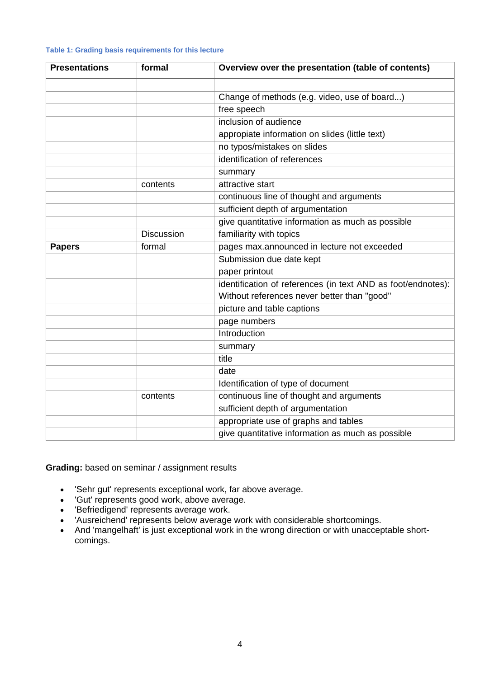#### <span id="page-3-0"></span>**Table 1: Grading basis requirements for this lecture**

| <b>Presentations</b> | formal            | Overview over the presentation (table of contents)                                                          |  |
|----------------------|-------------------|-------------------------------------------------------------------------------------------------------------|--|
|                      |                   |                                                                                                             |  |
|                      |                   | Change of methods (e.g. video, use of board)                                                                |  |
|                      |                   | free speech                                                                                                 |  |
|                      |                   | inclusion of audience                                                                                       |  |
|                      |                   | appropiate information on slides (little text)                                                              |  |
|                      |                   | no typos/mistakes on slides                                                                                 |  |
|                      |                   | identification of references                                                                                |  |
|                      |                   | summary                                                                                                     |  |
|                      | contents          | attractive start                                                                                            |  |
|                      |                   | continuous line of thought and arguments                                                                    |  |
|                      |                   | sufficient depth of argumentation                                                                           |  |
|                      |                   | give quantitative information as much as possible                                                           |  |
|                      | <b>Discussion</b> | familiarity with topics                                                                                     |  |
| <b>Papers</b>        | formal            | pages max.announced in lecture not exceeded                                                                 |  |
|                      |                   | Submission due date kept                                                                                    |  |
|                      |                   | paper printout                                                                                              |  |
|                      |                   | identification of references (in text AND as foot/endnotes):<br>Without references never better than "good" |  |
|                      |                   | picture and table captions                                                                                  |  |
|                      |                   | page numbers                                                                                                |  |
|                      |                   | Introduction                                                                                                |  |
|                      |                   | summary                                                                                                     |  |
|                      |                   | title                                                                                                       |  |
|                      |                   | date                                                                                                        |  |
|                      |                   | Identification of type of document                                                                          |  |
|                      | contents          | continuous line of thought and arguments                                                                    |  |
|                      |                   | sufficient depth of argumentation                                                                           |  |
|                      |                   | appropriate use of graphs and tables                                                                        |  |
|                      |                   | give quantitative information as much as possible                                                           |  |

**Grading:** based on seminar / assignment results

- 'Sehr gut' represents exceptional work, far above average.
- 'Gut' represents good work, above average.
- 'Befriedigend' represents average work.
- 'Ausreichend' represents below average work with considerable shortcomings.
- And 'mangelhaft' is just exceptional work in the wrong direction or with unacceptable shortcomings.